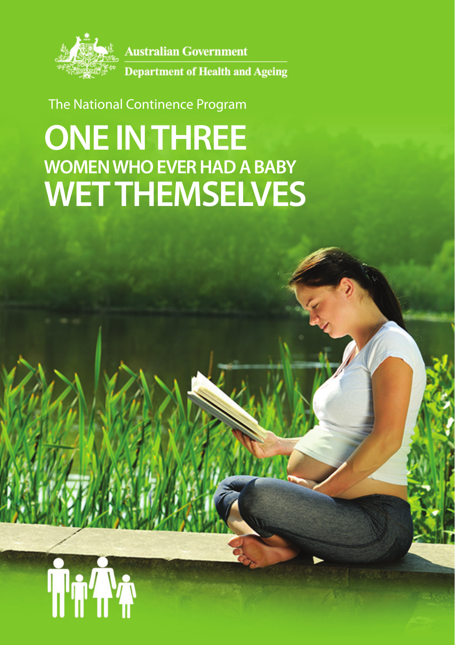

**Australian Government Department of Health and Ageing** 

### The National Continence Program

# **ONE IN THREE WOMEN WHO EVER HAD A BABY WET THEMSELVES**

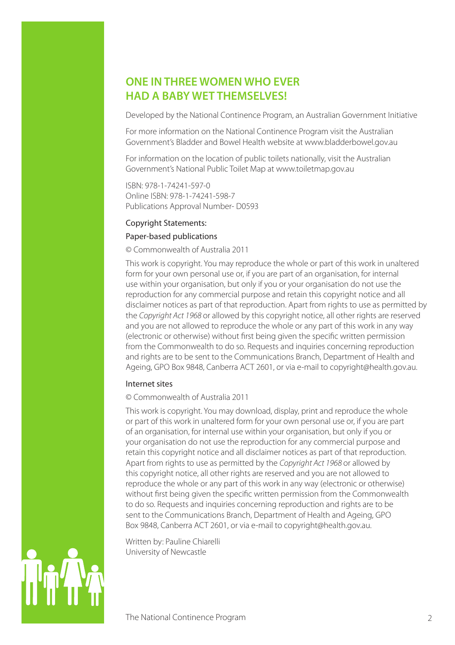#### **ONE IN THREE WOMEN WHO EVER HAD A BABY WET THEMSELVES!**

Developed by the National Continence Program, an Australian Government Initiative

For more information on the National Continence Program visit the Australian Government's Bladder and Bowel Health website at www.bladderbowel.gov.au.

For information on the location of public toilets nationally, visit the Australian Government's National Public Toilet Map at www.toiletmap.gov.au

ISBN: 978-1-74241-597-0 Online ISBN: 978-1-74241-598-7 Publications Approval Number- D0593

#### Copyright Statements:

#### Paper-based publications

© Commonwealth of Australia 2011

This work is copyright. You may reproduce the whole or part of this work in unaltered form for your own personal use or, if you are part of an organisation, for internal use within your organisation, but only if you or your organisation do not use the reproduction for any commercial purpose and retain this copyright notice and all disclaimer notices as part of that reproduction. Apart from rights to use as permitted by the *Copyright Act 1968* or allowed by this copyright notice, all other rights are reserved and you are not allowed to reproduce the whole or any part of this work in any way (electronic or otherwise) without first being given the specific written permission from the Commonwealth to do so. Requests and inquiries concerning reproduction and rights are to be sent to the Communications Branch, Department of Health and Ageing, GPO Box 9848, Canberra ACT 2601, or via e-mail to copyright@health.gov.au.

#### Internet sites

#### © Commonwealth of Australia 2011

This work is copyright. You may download, display, print and reproduce the whole or part of this work in unaltered form for your own personal use or, if you are part of an organisation, for internal use within your organisation, but only if you or your organisation do not use the reproduction for any commercial purpose and retain this copyright notice and all disclaimer notices as part of that reproduction. Apart from rights to use as permitted by the *Copyright Act 1968* or allowed by this copyright notice, all other rights are reserved and you are not allowed to reproduce the whole or any part of this work in any way (electronic or otherwise) without first being given the specific written permission from the Commonwealth to do so. Requests and inquiries concerning reproduction and rights are to be sent to the Communications Branch, Department of Health and Ageing, GPO Box 9848, Canberra ACT 2601, or via e-mail to copyright@health.gov.au.

Written by: Pauline Chiarelli University of Newcastle



The National Continence Program 2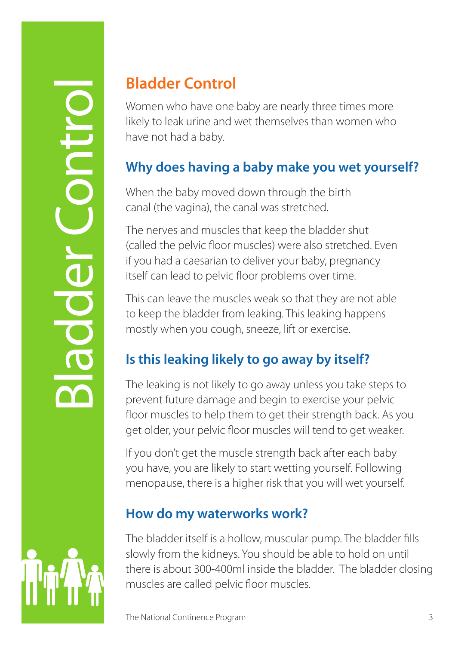Bladder Control

# **Bladder Control**

Women who have one baby are nearly three times more likely to leak urine and wet themselves than women who have not had a baby.

### **Why does having a baby make you wet yourself?**

When the baby moved down through the birth canal (the vagina), the canal was stretched.

The nerves and muscles that keep the bladder shut (called the pelvic floor muscles) were also stretched. Even if you had a caesarian to deliver your baby, pregnancy itself can lead to pelvic floor problems over time.

This can leave the muscles weak so that they are not able to keep the bladder from leaking. This leaking happens mostly when you cough, sneeze, lift or exercise.

# **Is this leaking likely to go away by itself?**

The leaking is not likely to go away unless you take steps to prevent future damage and begin to exercise your pelvic floor muscles to help them to get their strength back. As you get older, your pelvic floor muscles will tend to get weaker.

If you don't get the muscle strength back after each baby you have, you are likely to start wetting yourself. Following menopause, there is a higher risk that you will wet yourself.

### **How do my waterworks work?**

The bladder itself is a hollow, muscular pump. The bladder fills slowly from the kidneys. You should be able to hold on until there is about 300-400ml inside the bladder. The bladder closing muscles are called pelvic floor muscles.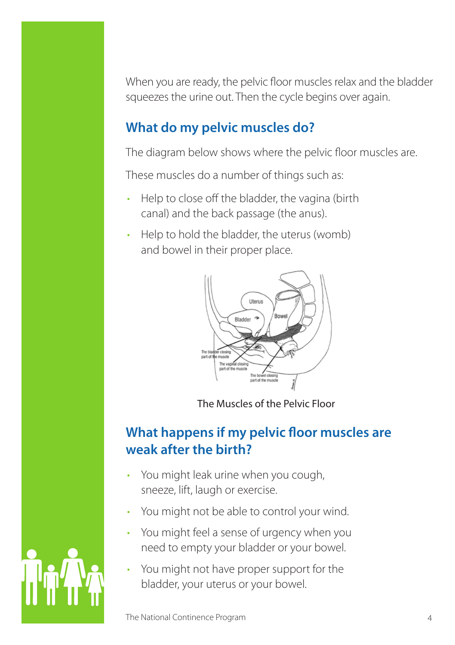When you are ready, the pelvic floor muscles relax and the bladder squeezes the urine out. Then the cycle begins over again.

#### **What do my pelvic muscles do?**

The diagram below shows where the pelvic floor muscles are.

These muscles do a number of things such as:

- Help to close off the bladder, the vagina (birth canal) and the back passage (the anus).
- Help to hold the bladder, the uterus (womb) and bowel in their proper place.



The Muscles of the Pelvic Floor

#### **What happens if my pelvic floor muscles are weak after the birth?**

- You might leak urine when you cough, sneeze, lift, laugh or exercise.
- You might not be able to control your wind.
- You might feel a sense of urgency when you need to empty your bladder or your bowel.
- You might not have proper support for the bladder, your uterus or your bowel.

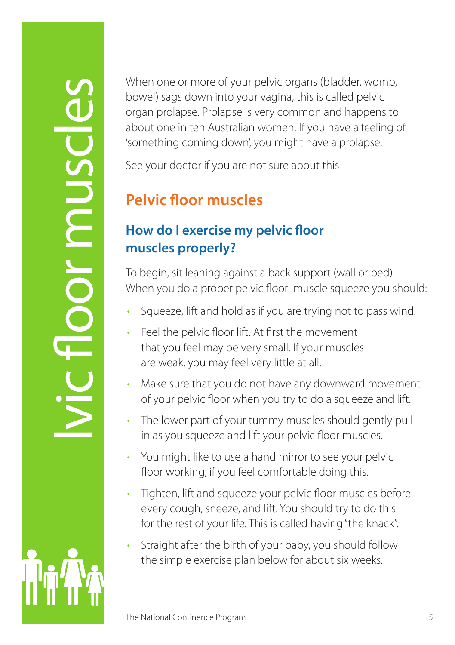lvic floor musclesDC DD SC

When one or more of your pelvic organs (bladder, womb, bowel) sags down into your vagina, this is called pelvic organ prolapse. Prolapse is very common and happens to about one in ten Australian women. If you have a feeling of 'something coming down', you might have a prolapse.

See your doctor if you are not sure about this

# **Pelvic floor muscles**

### **How do I exercise my pelvic floor muscles properly?**

To begin, sit leaning against a back support (wall or bed). When you do a proper pelvic floor muscle squeeze you should:

- Squeeze, lift and hold as if you are trying not to pass wind.
- Feel the pelvic floor lift. At first the movement that you feel may be very small. If your muscles are weak, you may feel very little at all.
- Make sure that you do not have any downward movement of your pelvic floor when you try to do a squeeze and lift.
- The lower part of your tummy muscles should gently pull in as you squeeze and lift your pelvic floor muscles.
- You might like to use a hand mirror to see your pelvic floor working, if you feel comfortable doing this.
- Tighten, lift and squeeze your pelvic floor muscles before every cough, sneeze, and lift. You should try to do this for the rest of your life. This is called having "the knack".
- Straight after the birth of your baby, you should follow the simple exercise plan below for about six weeks.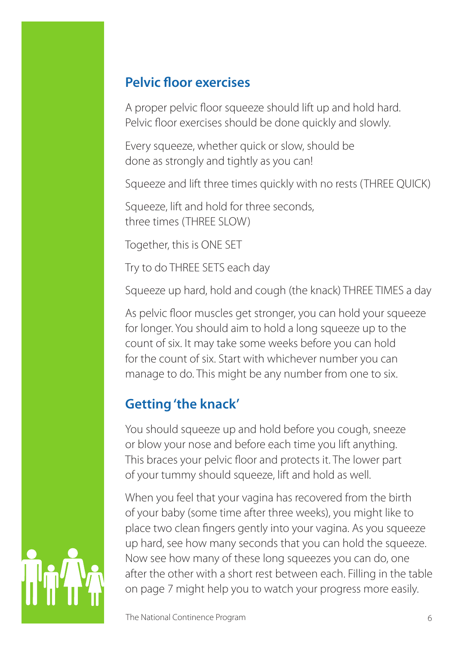#### **Pelvic floor exercises**

A proper pelvic floor squeeze should lift up and hold hard. Pelvic floor exercises should be done quickly and slowly.

Every squeeze, whether quick or slow, should be done as strongly and tightly as you can!

Squeeze and lift three times quickly with no rests (THREE QUICK)

Squeeze, lift and hold for three seconds, three times (THREE SLOW)

Together, this is ONE SET

Try to do THREE SETS each day

Squeeze up hard, hold and cough (the knack) THREE TIMES a day

As pelvic floor muscles get stronger, you can hold your squeeze for longer. You should aim to hold a long squeeze up to the count of six. It may take some weeks before you can hold for the count of six. Start with whichever number you can manage to do. This might be any number from one to six.

### **Getting 'the knack'**

You should squeeze up and hold before you cough, sneeze or blow your nose and before each time you lift anything. This braces your pelvic floor and protects it. The lower part of your tummy should squeeze, lift and hold as well.

When you feel that your vagina has recovered from the birth of your baby (some time after three weeks), you might like to place two clean fingers gently into your vagina. As you squeeze up hard, see how many seconds that you can hold the squeeze. Now see how many of these long squeezes you can do, one after the other with a short rest between each. Filling in the table on page 7 might help you to watch your progress more easily.

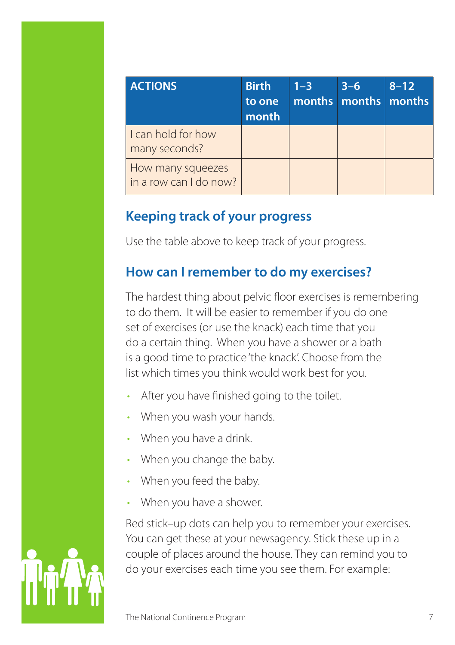| <b>ACTIONS</b>                              | <b>Birth</b><br>to one<br>month | $1 - 3$ | $3 - 6$<br>months months months | $8 - 12$ |
|---------------------------------------------|---------------------------------|---------|---------------------------------|----------|
| I can hold for how<br>many seconds?         |                                 |         |                                 |          |
| How many squeezes<br>in a row can I do now? |                                 |         |                                 |          |

### **Keeping track of your progress**

Use the table above to keep track of your progress.

### **How can I remember to do my exercises?**

The hardest thing about pelvic floor exercises is remembering to do them. It will be easier to remember if you do one set of exercises (or use the knack) each time that you do a certain thing. When you have a shower or a bath is a good time to practice 'the knack'. Choose from the list which times you think would work best for you.

- After you have finished going to the toilet.
- When you wash your hands.
- When you have a drink.
- When you change the baby.
- When you feed the baby.
- When you have a shower.

Red stick–up dots can help you to remember your exercises. You can get these at your newsagency. Stick these up in a couple of places around the house. They can remind you to do your exercises each time you see them. For example:

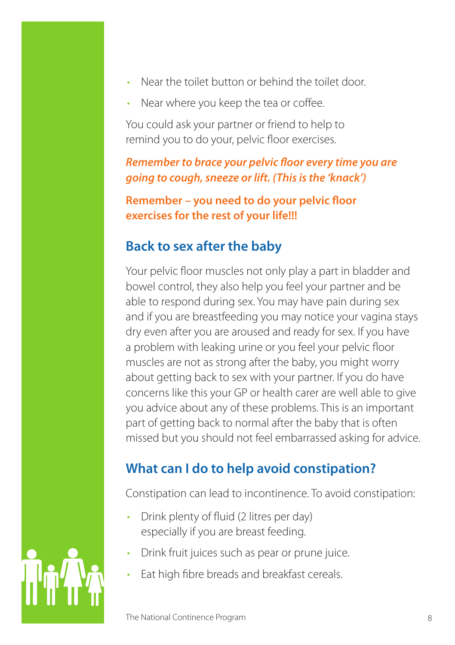- Near the toilet button or behind the toilet door.
- Near where you keep the tea or coffee.

You could ask your partner or friend to help to remind you to do your, pelvic floor exercises.

#### *Remember to brace your pelvic floor every time you are going to cough, sneeze or lift. (This is the 'knack')*

**Remember – you need to do your pelvic floor exercises for the rest of your life!!!**

#### **Back to sex after the baby**

Your pelvic floor muscles not only play a part in bladder and bowel control, they also help you feel your partner and be able to respond during sex. You may have pain during sex and if you are breastfeeding you may notice your vagina stays dry even after you are aroused and ready for sex. If you have a problem with leaking urine or you feel your pelvic floor muscles are not as strong after the baby, you might worry about getting back to sex with your partner. If you do have concerns like this your GP or health carer are well able to give you advice about any of these problems. This is an important part of getting back to normal after the baby that is often missed but you should not feel embarrassed asking for advice.

### **What can I do to help avoid constipation?**

Constipation can lead to incontinence. To avoid constipation:

- Drink plenty of fluid (2 litres per day) especially if you are breast feeding.
- Drink fruit juices such as pear or prune juice.
- Eat high fibre breads and breakfast cereals.

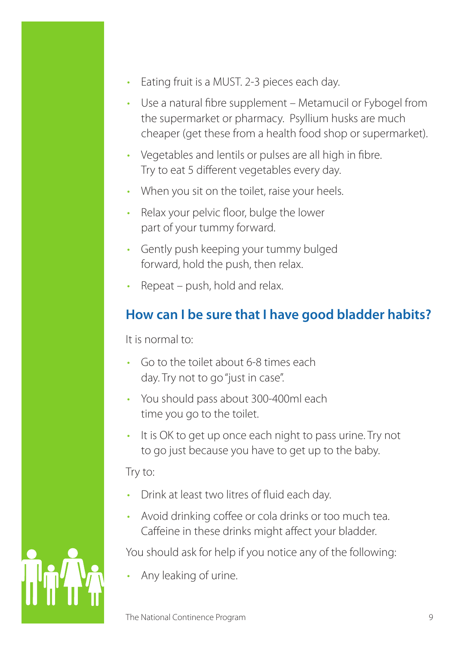- Eating fruit is a MUST. 2-3 pieces each day.
- Use a natural fibre supplement Metamucil or Fybogel from the supermarket or pharmacy. Psyllium husks are much cheaper (get these from a health food shop or supermarket).
- Vegetables and lentils or pulses are all high in fibre. Try to eat 5 different vegetables every day.
- When you sit on the toilet, raise your heels.
- Relax your pelvic floor, bulge the lower part of your tummy forward.
- Gently push keeping your tummy bulged forward, hold the push, then relax.
- Repeat push, hold and relax.

### **How can I be sure that I have good bladder habits?**

It is normal to:

- Go to the toilet about 6-8 times each day. Try not to go "just in case".
- You should pass about 300-400ml each time you go to the toilet.
- It is OK to get up once each night to pass urine. Try not to go just because you have to get up to the baby.

Try to:

- Drink at least two litres of fluid each day.
- Avoid drinking coffee or cola drinks or too much tea. Caffeine in these drinks might affect your bladder.

You should ask for help if you notice any of the following:

• Any leaking of urine.

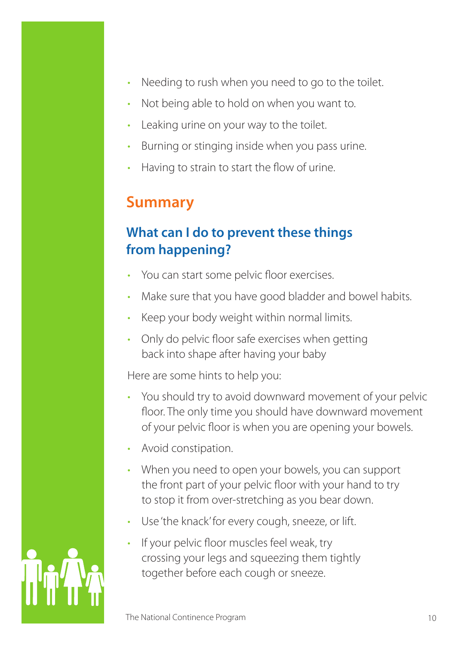- Needing to rush when you need to go to the toilet.
- Not being able to hold on when you want to.
- Leaking urine on your way to the toilet.
- Burning or stinging inside when you pass urine.
- Having to strain to start the flow of urine.

## **Summary**

### **What can I do to prevent these things from happening?**

- You can start some pelvic floor exercises.
- Make sure that you have good bladder and bowel habits.
- Keep your body weight within normal limits.
- Only do pelvic floor safe exercises when getting back into shape after having your baby

Here are some hints to help you:

- You should try to avoid downward movement of your pelvic floor. The only time you should have downward movement of your pelvic floor is when you are opening your bowels.
- Avoid constipation.
- When you need to open your bowels, you can support the front part of your pelvic floor with your hand to try to stop it from over-stretching as you bear down.
- Use 'the knack' for every cough, sneeze, or lift.
- If your pelvic floor muscles feel weak, try crossing your legs and squeezing them tightly together before each cough or sneeze.

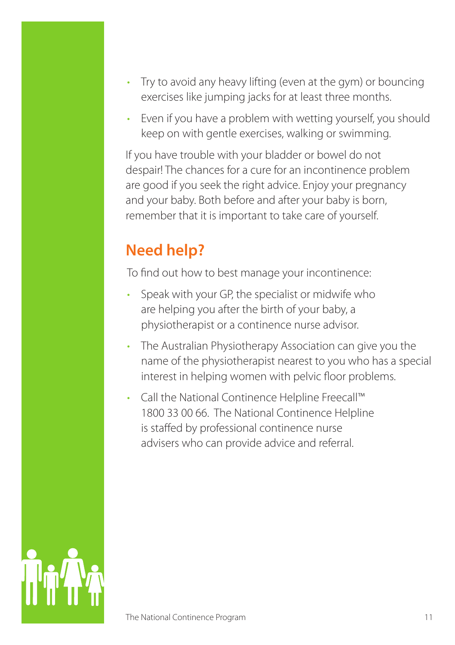- Try to avoid any heavy lifting (even at the gym) or bouncing exercises like jumping jacks for at least three months.
- Even if you have a problem with wetting yourself, you should keep on with gentle exercises, walking or swimming.

If you have trouble with your bladder or bowel do not despair! The chances for a cure for an incontinence problem are good if you seek the right advice. Enjoy your pregnancy and your baby. Both before and after your baby is born, remember that it is important to take care of yourself.

# **Need help?**

To find out how to best manage your incontinence:

- Speak with your GP, the specialist or midwife who are helping you after the birth of your baby, a physiotherapist or a continence nurse advisor.
- The Australian Physiotherapy Association can give you the name of the physiotherapist nearest to you who has a special interest in helping women with pelvic floor problems.
- Call the National Continence Helpline Freecall™ 1800 33 00 66. The National Continence Helpline is staffed by professional continence nurse advisers who can provide advice and referral.